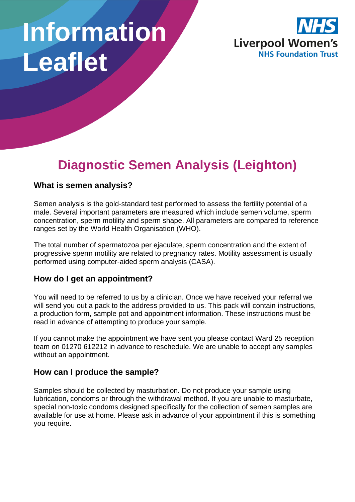# **Information Leaflet**



# **Diagnostic Semen Analysis (Leighton)**

#### **What is semen analysis?**

Semen analysis is the gold-standard test performed to assess the fertility potential of a male. Several important parameters are measured which include semen volume, sperm concentration, sperm motility and sperm shape. All parameters are compared to reference ranges set by the World Health Organisation (WHO).

The total number of spermatozoa per ejaculate, sperm concentration and the extent of progressive sperm motility are related to pregnancy rates. Motility assessment is usually performed using computer-aided sperm analysis (CASA).

#### **How do I get an appointment?**

You will need to be referred to us by a clinician. Once we have received your referral we will send you out a pack to the address provided to us. This pack will contain instructions, a production form, sample pot and appointment information. These instructions must be read in advance of attempting to produce your sample.

If you cannot make the appointment we have sent you please contact Ward 25 reception team on 01270 612212 in advance to reschedule. We are unable to accept any samples without an appointment.

#### **How can I produce the sample?**

Samples should be collected by masturbation. Do not produce your sample using lubrication, condoms or through the withdrawal method. If you are unable to masturbate, special non-toxic condoms designed specifically for the collection of semen samples are available for use at home. Please ask in advance of your appointment if this is something you require.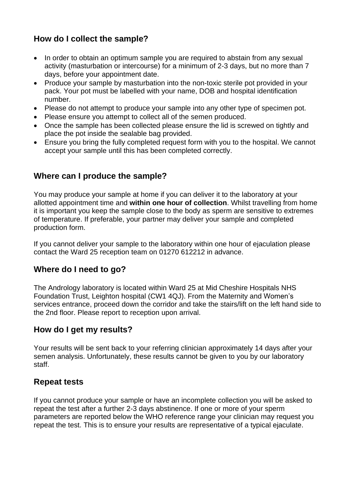## **How do I collect the sample?**

- In order to obtain an optimum sample you are required to abstain from any sexual activity (masturbation or intercourse) for a minimum of 2-3 days, but no more than 7 days, before your appointment date.
- Produce your sample by masturbation into the non-toxic sterile pot provided in your pack. Your pot must be labelled with your name, DOB and hospital identification number.
- Please do not attempt to produce your sample into any other type of specimen pot.
- Please ensure you attempt to collect all of the semen produced.
- Once the sample has been collected please ensure the lid is screwed on tightly and place the pot inside the sealable bag provided.
- Ensure you bring the fully completed request form with you to the hospital. We cannot accept your sample until this has been completed correctly.

#### **Where can I produce the sample?**

You may produce your sample at home if you can deliver it to the laboratory at your allotted appointment time and **within one hour of collection**. Whilst travelling from home it is important you keep the sample close to the body as sperm are sensitive to extremes of temperature. If preferable, your partner may deliver your sample and completed production form.

If you cannot deliver your sample to the laboratory within one hour of ejaculation please contact the Ward 25 reception team on 01270 612212 in advance.

#### **Where do I need to go?**

The Andrology laboratory is located within Ward 25 at Mid Cheshire Hospitals NHS Foundation Trust, Leighton hospital (CW1 4QJ). From the Maternity and Women's services entrance, proceed down the corridor and take the stairs/lift on the left hand side to the 2nd floor. Please report to reception upon arrival.

#### **How do I get my results?**

Your results will be sent back to your referring clinician approximately 14 days after your semen analysis. Unfortunately, these results cannot be given to you by our laboratory staff.

#### **Repeat tests**

If you cannot produce your sample or have an incomplete collection you will be asked to repeat the test after a further 2-3 days abstinence. If one or more of your sperm parameters are reported below the WHO reference range your clinician may request you repeat the test. This is to ensure your results are representative of a typical ejaculate.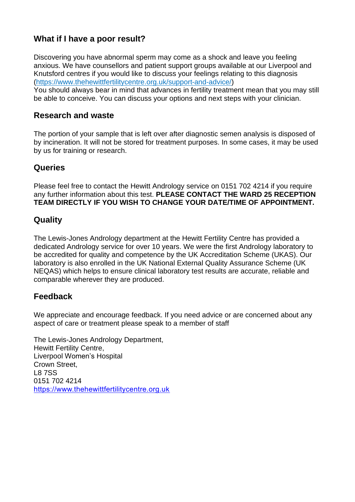## **What if I have a poor result?**

Discovering you have abnormal sperm may come as a shock and leave you feeling anxious. We have counsellors and patient support groups available at our Liverpool and Knutsford centres if you would like to discuss your feelings relating to this diagnosis [\(https://www.thehewittfertilitycentre.org.uk/support-and-advice/\)](https://www.thehewittfertilitycentre.org.uk/support-and-advice/)

You should always bear in mind that advances in fertility treatment mean that you may still be able to conceive. You can discuss your options and next steps with your clinician.

#### **Research and waste**

The portion of your sample that is left over after diagnostic semen analysis is disposed of by incineration. It will not be stored for treatment purposes. In some cases, it may be used by us for training or research.

#### **Queries**

Please feel free to contact the Hewitt Andrology service on 0151 702 4214 if you require any further information about this test. **PLEASE CONTACT THE WARD 25 RECEPTION TEAM DIRECTLY IF YOU WISH TO CHANGE YOUR DATE/TIME OF APPOINTMENT.**

#### **Quality**

The Lewis-Jones Andrology department at the Hewitt Fertility Centre has provided a dedicated Andrology service for over 10 years. We were the first Andrology laboratory to be accredited for quality and competence by the UK Accreditation Scheme (UKAS). Our laboratory is also enrolled in the UK National External Quality Assurance Scheme (UK NEQAS) which helps to ensure clinical laboratory test results are accurate, reliable and comparable wherever they are produced.

#### **Feedback**

We appreciate and encourage feedback. If you need advice or are concerned about any aspect of care or treatment please speak to a member of staff

The Lewis-Jones Andrology Department, Hewitt Fertility Centre, Liverpool Women's Hospital Crown Street, L8 7SS 0151 702 4214 [https://www.thehewittfertilitycentre.org.uk](https://www.thehewittfertilitycentre.org.uk/)